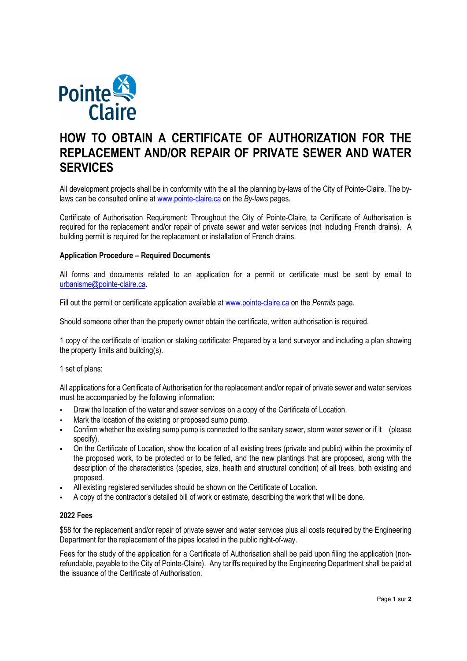

# **HOW TO OBTAIN A CERTIFICATE OF AUTHORIZATION FOR THE REPLACEMENT AND/OR REPAIR OF PRIVATE SEWER AND WATER SERVICES**

All development projects shall be in conformity with the all the planning by-laws of the City of Pointe-Claire. The bylaws can be consulted online at www.pointe-claire.ca on the *By-laws* pages.

Certificate of Authorisation Requirement: Throughout the City of Pointe-Claire, ta Certificate of Authorisation is required for the replacement and/or repair of private sewer and water services (not including French drains). A building permit is required for the replacement or installation of French drains.

### **Application Procedure – Required Documents**

All forms and documents related to an application for a permit or certificate must be sent by email to urbanisme@pointe-claire.ca.

Fill out the permit or certificate application available at www.pointe-claire.ca on the *Permits* page.

Should someone other than the property owner obtain the certificate, written authorisation is required.

1 copy of the certificate of location or staking certificate: Prepared by a land surveyor and including a plan showing the property limits and building(s).

1 set of plans:

All applications for a Certificate of Authorisation for the replacement and/or repair of private sewer and water services must be accompanied by the following information:

- Draw the location of the water and sewer services on a copy of the Certificate of Location.
- Mark the location of the existing or proposed sump pump.
- Confirm whether the existing sump pump is connected to the sanitary sewer, storm water sewer or if it (please specify).
- On the Certificate of Location, show the location of all existing trees (private and public) within the proximity of the proposed work, to be protected or to be felled, and the new plantings that are proposed, along with the description of the characteristics (species, size, health and structural condition) of all trees, both existing and proposed.
- All existing registered servitudes should be shown on the Certificate of Location.
- A copy of the contractor's detailed bill of work or estimate, describing the work that will be done.

## **2022 Fees**

\$58 for the replacement and/or repair of private sewer and water services plus all costs required by the Engineering Department for the replacement of the pipes located in the public right-of-way.

Fees for the study of the application for a Certificate of Authorisation shall be paid upon filing the application (nonrefundable, payable to the City of Pointe-Claire). Any tariffs required by the Engineering Department shall be paid at the issuance of the Certificate of Authorisation.